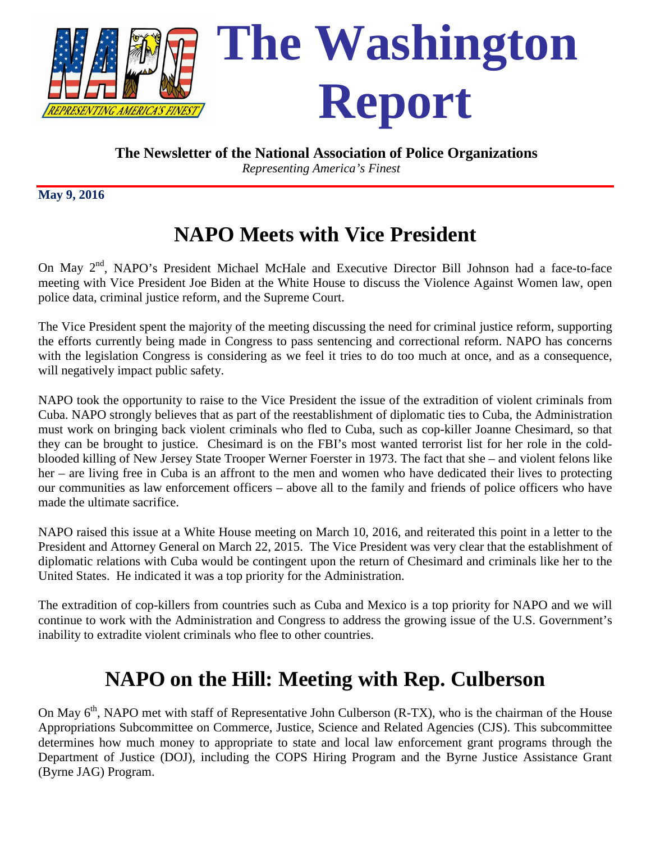

*Representing America's Finest*

**May 9, 2016**

## **NAPO Meets with Vice President**

On May 2<sup>nd</sup>, NAPO's President Michael McHale and Executive Director Bill Johnson had a face-to-face meeting with Vice President Joe Biden at the White House to discuss the Violence Against Women law, open police data, criminal justice reform, and the Supreme Court.

The Vice President spent the majority of the meeting discussing the need for criminal justice reform, supporting the efforts currently being made in Congress to pass sentencing and correctional reform. NAPO has concerns with the legislation Congress is considering as we feel it tries to do too much at once, and as a consequence, will negatively impact public safety.

NAPO took the opportunity to raise to the Vice President the issue of the extradition of violent criminals from Cuba. NAPO strongly believes that as part of the reestablishment of diplomatic ties to Cuba, the Administration must work on bringing back violent criminals who fled to Cuba, such as cop-killer Joanne Chesimard, so that they can be brought to justice. Chesimard is on the FBI's most wanted terrorist list for her role in the coldblooded killing of New Jersey State Trooper Werner Foerster in 1973. The fact that she – and violent felons like her – are living free in Cuba is an affront to the men and women who have dedicated their lives to protecting our communities as law enforcement officers – above all to the family and friends of police officers who have made the ultimate sacrifice.

NAPO raised this issue at a White House meeting on March 10, 2016, and reiterated this point in a letter to the President and Attorney General on March 22, 2015. The Vice President was very clear that the establishment of diplomatic relations with Cuba would be contingent upon the return of Chesimard and criminals like her to the United States. He indicated it was a top priority for the Administration.

The extradition of cop-killers from countries such as Cuba and Mexico is a top priority for NAPO and we will continue to work with the Administration and Congress to address the growing issue of the U.S. Government's inability to extradite violent criminals who flee to other countries.

## **NAPO on the Hill: Meeting with Rep. Culberson**

On May 6<sup>th</sup>, NAPO met with staff of Representative John Culberson (R-TX), who is the chairman of the House Appropriations Subcommittee on Commerce, Justice, Science and Related Agencies (CJS). This subcommittee determines how much money to appropriate to state and local law enforcement grant programs through the Department of Justice (DOJ), including the COPS Hiring Program and the Byrne Justice Assistance Grant (Byrne JAG) Program.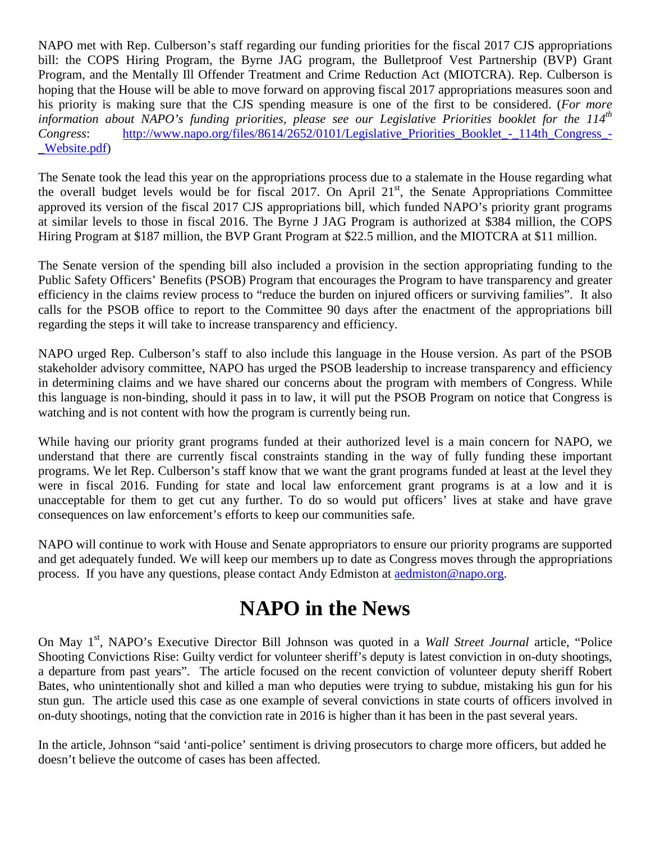NAPO met with Rep. Culberson's staff regarding our funding priorities for the fiscal 2017 CJS appropriations bill: the COPS Hiring Program, the Byrne JAG program, the Bulletproof Vest Partnership (BVP) Grant Program, and the Mentally Ill Offender Treatment and Crime Reduction Act (MIOTCRA). Rep. Culberson is hoping that the House will be able to move forward on approving fiscal 2017 appropriations measures soon and his priority is making sure that the CJS spending measure is one of the first to be considered. (*For more information about NAPO's funding priorities, please see our Legislative Priorities booklet for the 114th Congress*: [http://www.napo.org/files/8614/2652/0101/Legislative\\_Priorities\\_Booklet\\_-\\_114th\\_Congress\\_-](http://www.napo.org/files/8614/2652/0101/Legislative_Priorities_Booklet_-_114th_Congress_-_Website.pdf) [\\_Website.pdf\)](http://www.napo.org/files/8614/2652/0101/Legislative_Priorities_Booklet_-_114th_Congress_-_Website.pdf)

The Senate took the lead this year on the appropriations process due to a stalemate in the House regarding what the overall budget levels would be for fiscal 2017. On April  $21<sup>st</sup>$ , the Senate Appropriations Committee approved its version of the fiscal 2017 CJS appropriations bill, which funded NAPO's priority grant programs at similar levels to those in fiscal 2016. The Byrne J JAG Program is authorized at \$384 million, the COPS Hiring Program at \$187 million, the BVP Grant Program at \$22.5 million, and the MIOTCRA at \$11 million.

The Senate version of the spending bill also included a provision in the section appropriating funding to the Public Safety Officers' Benefits (PSOB) Program that encourages the Program to have transparency and greater efficiency in the claims review process to "reduce the burden on injured officers or surviving families". It also calls for the PSOB office to report to the Committee 90 days after the enactment of the appropriations bill regarding the steps it will take to increase transparency and efficiency.

NAPO urged Rep. Culberson's staff to also include this language in the House version. As part of the PSOB stakeholder advisory committee, NAPO has urged the PSOB leadership to increase transparency and efficiency in determining claims and we have shared our concerns about the program with members of Congress. While this language is non-binding, should it pass in to law, it will put the PSOB Program on notice that Congress is watching and is not content with how the program is currently being run.

While having our priority grant programs funded at their authorized level is a main concern for NAPO, we understand that there are currently fiscal constraints standing in the way of fully funding these important programs. We let Rep. Culberson's staff know that we want the grant programs funded at least at the level they were in fiscal 2016. Funding for state and local law enforcement grant programs is at a low and it is unacceptable for them to get cut any further. To do so would put officers' lives at stake and have grave consequences on law enforcement's efforts to keep our communities safe.

NAPO will continue to work with House and Senate appropriators to ensure our priority programs are supported and get adequately funded. We will keep our members up to date as Congress moves through the appropriations process. If you have any questions, please contact Andy Edmiston at [aedmiston@napo.org.](mailto:aedmiston@napo.org)

## **NAPO in the News**

On May 1<sup>st</sup>, NAPO's Executive Director Bill Johnson was quoted in a *Wall Street Journal* article, "Police Shooting Convictions Rise: Guilty verdict for volunteer sheriff's deputy is latest conviction in on-duty shootings, a departure from past years". The article focused on the recent conviction of volunteer deputy sheriff Robert Bates, who unintentionally shot and killed a man who deputies were trying to subdue, mistaking his gun for his stun gun. The article used this case as one example of several convictions in state courts of officers involved in on-duty shootings, noting that the conviction rate in 2016 is higher than it has been in the past several years.

In the article, Johnson "said 'anti-police' sentiment is driving prosecutors to charge more officers, but added he doesn't believe the outcome of cases has been affected.